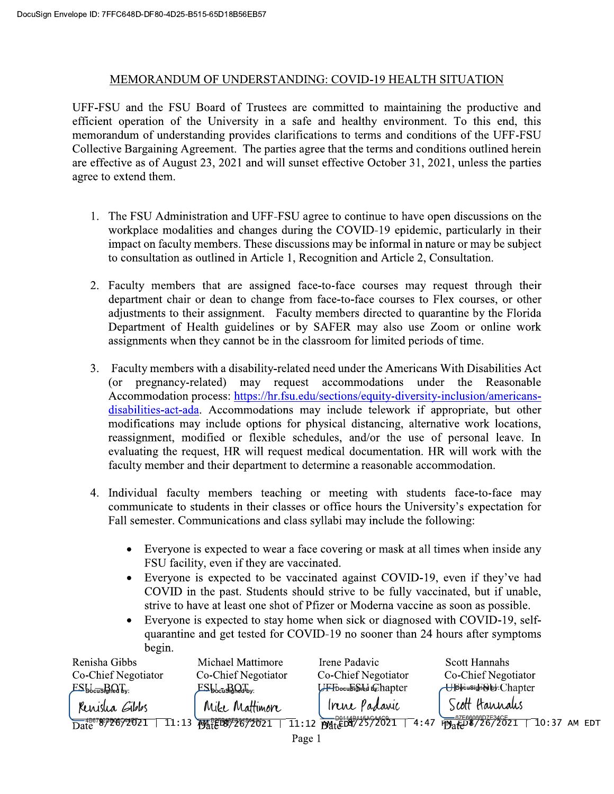## MEMORANDUM OF UNDERSTANDING: COVID-19 HEALTH SITUATION

UFF-FSU and the FSU Board of Trustees are committed to maintaining the productive and efficient operation of the University in a safe and healthy environment. To this end, this memorandum of understanding provides clarifications to terms and conditions of the UFF-FSU Collective Bargaining Agreement. The parties agree that the terms and conditions outlined herein are effective as of August 23, 2021 and will sunset effective October 31, 2021, unless the parties agree to extend them.

- 1. The FSU Administration and UFF-FSU agree to continue to have open discussions on the workplace modalities and changes during the COVID-19 epidemic, particularly in their impact on faculty members. These discussions may be informal in nature or may be subject to consultation as outlined in Article 1, Recognition and Article 2, Consultation.
- 2. Faculty members that are assigned face-to-face courses may request through their department chair or dean to change from face-to-face courses to Flex courses, or other adjustments to their assignment. Faculty members directed to quarantine by the Florida Department of Health guidelines or by SAFER may also use Zoom or online work assignments when they cannot be in the classroom for limited periods of time.
- 3. Faculty members with a disability-related need under the Americans With Disabilities Act (or pregnancy-related) may request accommodations under the Reasonable Accommodation process: https://hr.fsu.edu/sections/equity-diversity-inclusion/americansdisabilities-act-ada. Accommodations may include telework if appropriate, but other modifications may include options for physical distancing, alternative work locations, reassignment, modified or flexible schedules, and/or the use of personal leave. In evaluating the request, HR will request medical documentation. HR will work with the faculty member and their department to determine a reasonable accommodation.
- 4. Individual faculty members teaching or meeting with students face-to-face may communicate to students in their classes or office hours the University's expectation for Fall semester. Communications and class syllabi may include the following:
	- Everyone is expected to wear a face covering or mask at all times when inside any  $\bullet$ FSU facility, even if they are vaccinated.
	- Everyone is expected to be vaccinated against COVID-19, even if they've had COVID in the past. Students should strive to be fully vaccinated, but if unable, strive to have at least one shot of Pfizer or Moderna vaccine as soon as possible.
	- Everyone is expected to stay home when sick or diagnosed with COVID-19, self- $\bullet$ quarantine and get tested for COVID-19 no sooner than 24 hours after symptoms begin.

| Renisha Gibbs                        | Michael Mattimore                                                                                                                                                                                                                                                                                      | Irene Padavic                   | <b>Scott Hannahs</b>                                                                                                           |  |  |
|--------------------------------------|--------------------------------------------------------------------------------------------------------------------------------------------------------------------------------------------------------------------------------------------------------------------------------------------------------|---------------------------------|--------------------------------------------------------------------------------------------------------------------------------|--|--|
| Co-Chief Negotiator                  | Co-Chief Negotiator                                                                                                                                                                                                                                                                                    | Co-Chief Negotiator             | Co-Chief Negotiator                                                                                                            |  |  |
| $ESb_{\text{cusp}}$                  | $ES_{\rm bccu}$ signed by:                                                                                                                                                                                                                                                                             | <b>UFFooculsighed in hapter</b> | <b>Up</b> rusign@by:Chapter                                                                                                    |  |  |
| Renisha Gibbs                        | Mike Mattimore                                                                                                                                                                                                                                                                                         | Irene Padaric                   | Scott Hannalis                                                                                                                 |  |  |
| $\frac{48678292692021}{\text{Date}}$ | $11:13$ $\frac{12}{11}$ $\frac{13}{11}$ $\frac{13}{11}$ $\frac{13}{11}$ $\frac{13}{11}$ $\frac{13}{11}$ $\frac{13}{11}$ $\frac{13}{11}$ $\frac{13}{11}$ $\frac{13}{11}$ $\frac{13}{11}$ $\frac{13}{11}$ $\frac{13}{11}$ $\frac{13}{11}$ $\frac{13}{11}$ $\frac{13}{11}$ $\frac{13}{11}$ $\frac{13}{11$ |                                 | $\frac{5.25}{11.12}$ $\frac{5.0011484454}{p^{90}16072572021}$ $-4.47$ $\frac{5.7566066D7534C}{p^{90}16072021}$ $-10.37$ AM EDT |  |  |
| Do $\alpha$ o $\alpha$               |                                                                                                                                                                                                                                                                                                        |                                 |                                                                                                                                |  |  |